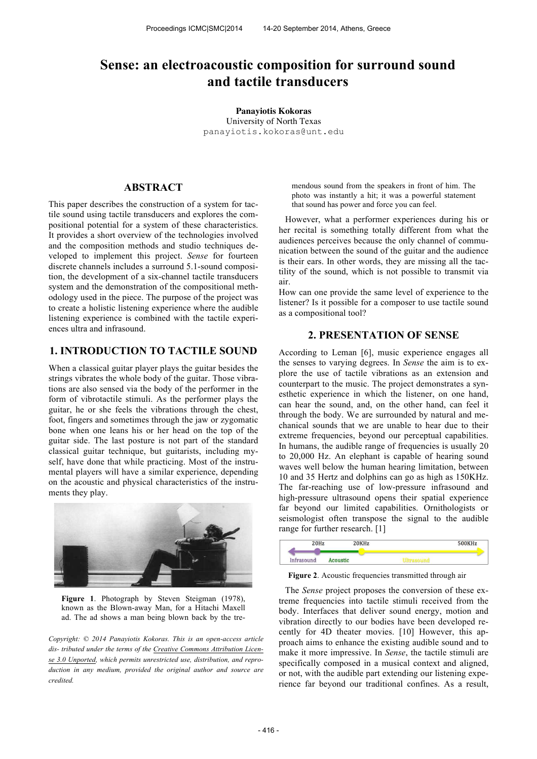# **Sense: an electroacoustic composition for surround sound and tactile transducers**

**Panayiotis Kokoras** University of North Texas panayiotis.kokoras@unt.edu

## **ABSTRACT**

This paper describes the construction of a system for tactile sound using tactile transducers and explores the compositional potential for a system of these characteristics. It provides a short overview of the technologies involved and the composition methods and studio techniques developed to implement this project. *Sense* for fourteen discrete channels includes a surround 5.1-sound composition, the development of a six-channel tactile transducers system and the demonstration of the compositional methodology used in the piece. The purpose of the project was to create a holistic listening experience where the audible listening experience is combined with the tactile experiences ultra and infrasound.

# **1. INTRODUCTION TO TACTILE SOUND**

When a classical guitar player plays the guitar besides the strings vibrates the whole body of the guitar. Those vibrations are also sensed via the body of the performer in the form of vibrotactile stimuli. As the performer plays the guitar, he or she feels the vibrations through the chest, foot, fingers and sometimes through the jaw or zygomatic bone when one leans his or her head on the top of the guitar side. The last posture is not part of the standard classical guitar technique, but guitarists, including myself, have done that while practicing. Most of the instrumental players will have a similar experience, depending on the acoustic and physical characteristics of the instruments they play.



Figure 1. Photograph by Steven Steigman (1978), known as the Blown-away Man, for a Hitachi Maxell ad. The ad shows a man being blown back by the tre-

*Copyright: © 2014 Panayiotis Kokoras. This is an open-access article dis- tributed under the terms of the Creative Commons Attribution License 3.0 Unported, which permits unrestricted use, distribution, and reproduction in any medium, provided the original author and source are credited.*

mendous sound from the speakers in front of him. The photo was instantly a hit; it was a powerful statement that sound has power and force you can feel.

However, what a performer experiences during his or her recital is something totally different from what the audiences perceives because the only channel of communication between the sound of the guitar and the audience is their ears. In other words, they are missing all the tactility of the sound, which is not possible to transmit via air.

How can one provide the same level of experience to the listener? Is it possible for a composer to use tactile sound as a compositional tool?

### **2. PRESENTATION OF SENSE**

According to Leman [6], music experience engages all the senses to varying degrees. In *Sense* the aim is to explore the use of tactile vibrations as an extension and counterpart to the music. The project demonstrates a synesthetic experience in which the listener, on one hand, can hear the sound, and, on the other hand, can feel it through the body. We are surrounded by natural and mechanical sounds that we are unable to hear due to their extreme frequencies, beyond our perceptual capabilities. In humans, the audible range of frequencies is usually 20 to 20,000 Hz. An elephant is capable of hearing sound waves well below the human hearing limitation, between 10 and 35 Hertz and dolphins can go as high as 150KHz. The far-reaching use of low-pressure infrasound and high-pressure ultrasound opens their spatial experience far beyond our limited capabilities. Ornithologists or seismologist often transpose the signal to the audible range for further research. [1]



**Figure 2**. Acoustic frequencies transmitted through air

The *Sense* project proposes the conversion of these extreme frequencies into tactile stimuli received from the body. Interfaces that deliver sound energy, motion and vibration directly to our bodies have been developed recently for 4D theater movies. [10] However, this approach aims to enhance the existing audible sound and to make it more impressive. In *Sense*, the tactile stimuli are specifically composed in a musical context and aligned, or not, with the audible part extending our listening experience far beyond our traditional confines. As a result,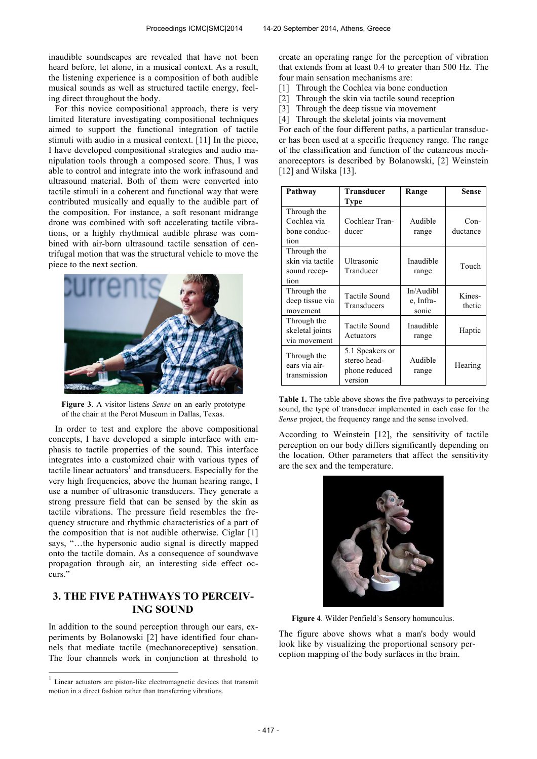inaudible soundscapes are revealed that have not been heard before, let alone, in a musical context. As a result, the listening experience is a composition of both audible musical sounds as well as structured tactile energy, feeling direct throughout the body.

For this novice compositional approach, there is very limited literature investigating compositional techniques aimed to support the functional integration of tactile stimuli with audio in a musical context. [11] In the piece, I have developed compositional strategies and audio manipulation tools through a composed score. Thus, I was able to control and integrate into the work infrasound and ultrasound material. Both of them were converted into tactile stimuli in a coherent and functional way that were contributed musically and equally to the audible part of the composition. For instance, a soft resonant midrange drone was combined with soft accelerating tactile vibrations, or a highly rhythmical audible phrase was combined with air-born ultrasound tactile sensation of centrifugal motion that was the structural vehicle to move the piece to the next section.



**Figure 3**. A visitor listens *Sense* on an early prototype of the chair at the Perot Museum in Dallas, Texas.

In order to test and explore the above compositional concepts, I have developed a simple interface with emphasis to tactile properties of the sound. This interface integrates into a customized chair with various types of tactile linear actuators<sup>1</sup> and transducers. Especially for the very high frequencies, above the human hearing range, I use a number of ultrasonic transducers. They generate a strong pressure field that can be sensed by the skin as tactile vibrations. The pressure field resembles the frequency structure and rhythmic characteristics of a part of the composition that is not audible otherwise. Ciglar [1] says, "…the hypersonic audio signal is directly mapped onto the tactile domain. As a consequence of soundwave propagation through air, an interesting side effect occurs."

# **3. THE FIVE PATHWAYS TO PERCEIV-ING SOUND**

In addition to the sound perception through our ears, experiments by Bolanowski [2] have identified four channels that mediate tactile (mechanoreceptive) sensation. The four channels work in conjunction at threshold to

 $\overline{a}$ 

create an operating range for the perception of vibration that extends from at least 0.4 to greater than 500 Hz. The four main sensation mechanisms are:

- [1] Through the Cochlea via bone conduction
- [2] Through the skin via tactile sound reception
- [3] Through the deep tissue via movement
- [4] Through the skeletal joints via movement

For each of the four different paths, a particular transducer has been used at a specific frequency range. The range of the classification and function of the cutaneous mechanoreceptors is described by Bolanowski, [2] Weinstein [12] and Wilska [13].

| Pathway                                                 | <b>Transducer</b>                                           | Range                           | <b>Sense</b>     |
|---------------------------------------------------------|-------------------------------------------------------------|---------------------------------|------------------|
|                                                         | Type                                                        |                                 |                  |
| Through the                                             |                                                             |                                 |                  |
| Cochlea via                                             | Cochlear Tran-                                              | Audible                         | $Con-$           |
| bone conduc-                                            | ducer                                                       | range                           | ductance         |
| tion                                                    |                                                             |                                 |                  |
| Through the<br>skin via tactile<br>sound recep-<br>tion | Ultrasonic<br>Tranducer                                     | Inaudible<br>range              | Touch            |
| Through the<br>deep tissue via<br>movement              | <b>Tactile Sound</b><br>Transducers                         | In/Audibl<br>e, Infra-<br>sonic | Kines-<br>thetic |
| Through the<br>skeletal joints<br>via movement          | Tactile Sound<br>Actuators                                  | Inaudible<br>range              | Haptic           |
| Through the<br>ears via air-<br>transmission            | 5.1 Speakers or<br>stereo head-<br>phone reduced<br>version | Audible<br>range                | Hearing          |

**Table 1.** The table above shows the five pathways to perceiving sound, the type of transducer implemented in each case for the *Sense* project, the frequency range and the sense involved.

According to Weinstein [12], the sensitivity of tactile perception on our body differs significantly depending on the location. Other parameters that affect the sensitivity are the sex and the temperature.



**Figure 4**. Wilder Penfield's Sensory homunculus.

The figure above shows what a man's body would look like by visualizing the proportional sensory perception mapping of the body surfaces in the brain.

<sup>&</sup>lt;sup>1</sup> Linear actuators are piston-like electromagnetic devices that transmit motion in a direct fashion rather than transferring vibrations.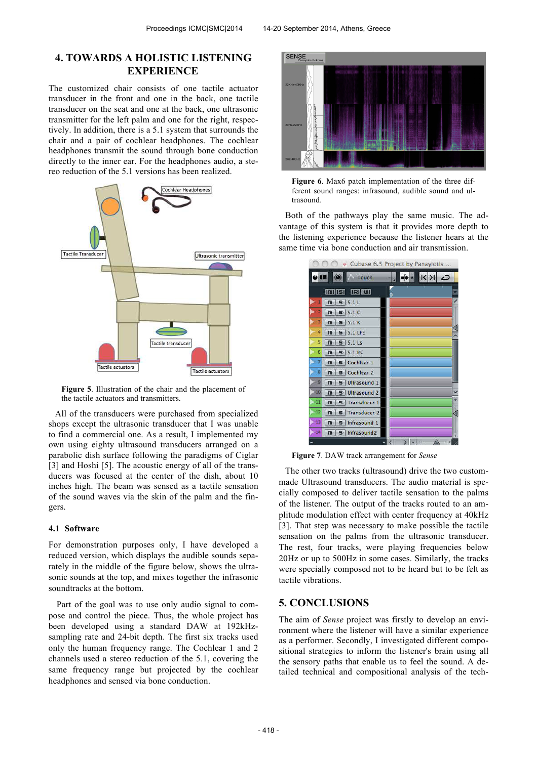# **4. TOWARDS A HOLISTIC LISTENING EXPERIENCE**

The customized chair consists of one tactile actuator transducer in the front and one in the back, one tactile transducer on the seat and one at the back, one ultrasonic transmitter for the left palm and one for the right, respectively. In addition, there is a 5.1 system that surrounds the chair and a pair of cochlear headphones. The cochlear headphones transmit the sound through bone conduction directly to the inner ear. For the headphones audio, a stereo reduction of the 5.1 versions has been realized.



**Figure 5**. Illustration of the chair and the placement of the tactile actuators and transmitters.

All of the transducers were purchased from specialized shops except the ultrasonic transducer that I was unable to find a commercial one. As a result, I implemented my own using eighty ultrasound transducers arranged on a parabolic dish surface following the paradigms of Ciglar [3] and Hoshi [5]. The acoustic energy of all of the transducers was focused at the center of the dish, about 10 inches high. The beam was sensed as a tactile sensation of the sound waves via the skin of the palm and the fingers.

#### **4.1 Software**

For demonstration purposes only, I have developed a reduced version, which displays the audible sounds separately in the middle of the figure below, shows the ultrasonic sounds at the top, and mixes together the infrasonic soundtracks at the bottom.

Part of the goal was to use only audio signal to compose and control the piece. Thus, the whole project has been developed using a standard DAW at 192kHzsampling rate and 24-bit depth. The first six tracks used only the human frequency range. The Cochlear 1 and 2 channels used a stereo reduction of the 5.1, covering the same frequency range but projected by the cochlear headphones and sensed via bone conduction.



**Figure 6**. Max6 patch implementation of the three different sound ranges: infrasound, audible sound and ultrasound.

Both of the pathways play the same music. The advantage of this system is that it provides more depth to the listening experience because the listener hears at the same time via bone conduction and air transmission.

| Cubase 6.5 Project by Panayiotis                   |   |
|----------------------------------------------------|---|
| $\overline{u}$<br>$\circledcirc$<br>Touch          | K |
| <b>IRI IWI</b><br>Imi Isl                          | × |
| 5.1L<br>m<br>s                                     | 7 |
| 5.1C<br>m<br>$\mathbf{S}$                          |   |
| 5.1R<br>s<br>m                                     |   |
| 4<br><b>5.1 LFE</b><br>m<br>s                      |   |
| 5<br>$5.1$ Ls<br>m<br>s                            |   |
| 6<br>$5.1$ $Rs$<br>s i<br>m                        |   |
| Cochlear 1<br>S<br>m                               |   |
| Cochlear 2<br>m<br>s                               |   |
| ٥<br>Ultrasound 1<br>$\mathbf{m}$<br>s             |   |
| 10<br>Ultrasound 2<br>m<br>G                       |   |
| п<br><b>Transducer 1</b><br>$\mathbf{S}$<br>m      |   |
| E<br><b>Transducer 2</b><br>m                      |   |
| Ŧ<br>Infrasound 1<br>m                             |   |
| 14<br>Infrasound <sub>2</sub><br>m<br>$\mathbf{s}$ |   |
|                                                    |   |

**Figure 7**. DAW track arrangement for *Sense*

The other two tracks (ultrasound) drive the two custommade Ultrasound transducers. The audio material is specially composed to deliver tactile sensation to the palms of the listener. The output of the tracks routed to an amplitude modulation effect with center frequency at 40kHz [3]. That step was necessary to make possible the tactile sensation on the palms from the ultrasonic transducer. The rest, four tracks, were playing frequencies below 20Hz or up to 500Hz in some cases. Similarly, the tracks were specially composed not to be heard but to be felt as tactile vibrations.

### **5. CONCLUSIONS**

The aim of *Sense* project was firstly to develop an environment where the listener will have a similar experience as a performer. Secondly, I investigated different compositional strategies to inform the listener's brain using all the sensory paths that enable us to feel the sound. A detailed technical and compositional analysis of the tech